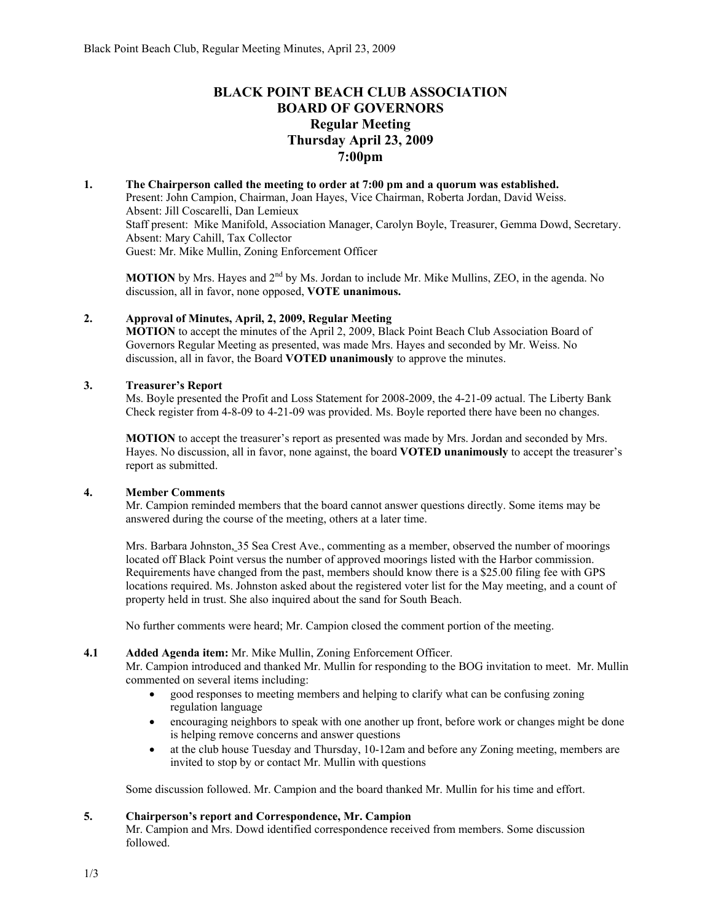# **BLACK POINT BEACH CLUB ASSOCIATION BOARD OF GOVERNORS Regular Meeting Thursday April 23, 2009 7:00pm**

# **1. The Chairperson called the meeting to order at 7:00 pm and a quorum was established.**  Present: John Campion, Chairman, Joan Hayes, Vice Chairman, Roberta Jordan, David Weiss. Absent: Jill Coscarelli, Dan Lemieux Staff present: Mike Manifold, Association Manager, Carolyn Boyle, Treasurer, Gemma Dowd, Secretary. Absent: Mary Cahill, Tax Collector Guest: Mr. Mike Mullin, Zoning Enforcement Officer

**MOTION** by Mrs. Hayes and 2<sup>nd</sup> by Ms. Jordan to include Mr. Mike Mullins, ZEO, in the agenda. No discussion, all in favor, none opposed, **VOTE unanimous.**

# **2. Approval of Minutes, April, 2, 2009, Regular Meeting**

**MOTION** to accept the minutes of the April 2, 2009, Black Point Beach Club Association Board of Governors Regular Meeting as presented, was made Mrs. Hayes and seconded by Mr. Weiss. No discussion, all in favor, the Board **VOTED unanimously** to approve the minutes.

# **3. Treasurer's Report**

Ms. Boyle presented the Profit and Loss Statement for 2008-2009, the 4-21-09 actual. The Liberty Bank Check register from 4-8-09 to 4-21-09 was provided. Ms. Boyle reported there have been no changes.

**MOTION** to accept the treasurer's report as presented was made by Mrs. Jordan and seconded by Mrs. Hayes. No discussion, all in favor, none against, the board **VOTED unanimously** to accept the treasurer's report as submitted.

# **4. Member Comments**

Mr. Campion reminded members that the board cannot answer questions directly. Some items may be answered during the course of the meeting, others at a later time.

Mrs. Barbara Johnston, 35 Sea Crest Ave., commenting as a member, observed the number of moorings located off Black Point versus the number of approved moorings listed with the Harbor commission. Requirements have changed from the past, members should know there is a \$25.00 filing fee with GPS locations required. Ms. Johnston asked about the registered voter list for the May meeting, and a count of property held in trust. She also inquired about the sand for South Beach.

No further comments were heard; Mr. Campion closed the comment portion of the meeting.

# **4.1 Added Agenda item:** Mr. Mike Mullin, Zoning Enforcement Officer.

Mr. Campion introduced and thanked Mr. Mullin for responding to the BOG invitation to meet. Mr. Mullin commented on several items including:

- good responses to meeting members and helping to clarify what can be confusing zoning regulation language
- encouraging neighbors to speak with one another up front, before work or changes might be done is helping remove concerns and answer questions
- at the club house Tuesday and Thursday, 10-12am and before any Zoning meeting, members are invited to stop by or contact Mr. Mullin with questions

Some discussion followed. Mr. Campion and the board thanked Mr. Mullin for his time and effort.

# **5. Chairperson's report and Correspondence, Mr. Campion**

Mr. Campion and Mrs. Dowd identified correspondence received from members. Some discussion followed.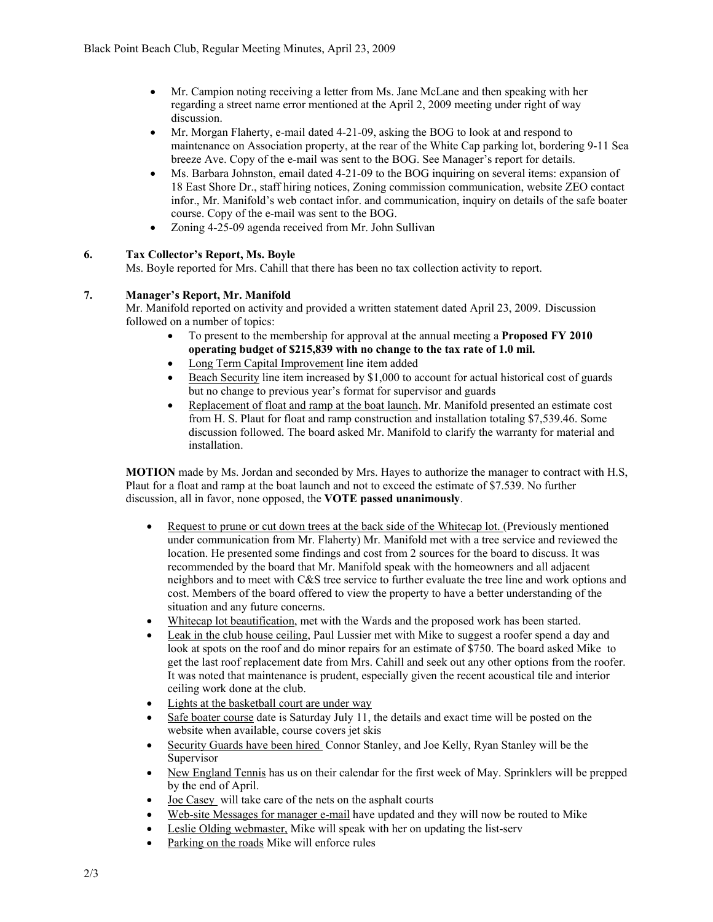- Mr. Campion noting receiving a letter from Ms. Jane McLane and then speaking with her regarding a street name error mentioned at the April 2, 2009 meeting under right of way discussion.
- Mr. Morgan Flaherty, e-mail dated 4-21-09, asking the BOG to look at and respond to maintenance on Association property, at the rear of the White Cap parking lot, bordering 9-11 Sea breeze Ave. Copy of the e-mail was sent to the BOG. See Manager's report for details.
- Ms. Barbara Johnston, email dated 4-21-09 to the BOG inquiring on several items: expansion of 18 East Shore Dr., staff hiring notices, Zoning commission communication, website ZEO contact infor., Mr. Manifold's web contact infor. and communication, inquiry on details of the safe boater course. Copy of the e-mail was sent to the BOG.
- Zoning 4-25-09 agenda received from Mr. John Sullivan

# **6. Tax Collector's Report, Ms. Boyle**

Ms. Boyle reported for Mrs. Cahill that there has been no tax collection activity to report.

# **7. Manager's Report, Mr. Manifold**

Mr. Manifold reported on activity and provided a written statement dated April 23, 2009. Discussion followed on a number of topics:

- To present to the membership for approval at the annual meeting a **Proposed FY 2010 operating budget of \$215,839 with no change to the tax rate of 1.0 mil.**
- Long Term Capital Improvement line item added
- Beach Security line item increased by \$1,000 to account for actual historical cost of guards but no change to previous year's format for supervisor and guards
- Replacement of float and ramp at the boat launch. Mr. Manifold presented an estimate cost from H. S. Plaut for float and ramp construction and installation totaling \$7,539.46. Some discussion followed. The board asked Mr. Manifold to clarify the warranty for material and installation.

**MOTION** made by Ms. Jordan and seconded by Mrs. Hayes to authorize the manager to contract with H.S, Plaut for a float and ramp at the boat launch and not to exceed the estimate of \$7.539. No further discussion, all in favor, none opposed, the **VOTE passed unanimously**.

- Request to prune or cut down trees at the back side of the Whitecap lot. (Previously mentioned under communication from Mr. Flaherty) Mr. Manifold met with a tree service and reviewed the location. He presented some findings and cost from 2 sources for the board to discuss. It was recommended by the board that Mr. Manifold speak with the homeowners and all adjacent neighbors and to meet with C&S tree service to further evaluate the tree line and work options and cost. Members of the board offered to view the property to have a better understanding of the situation and any future concerns.
- Whitecap lot beautification, met with the Wards and the proposed work has been started.
- Leak in the club house ceiling, Paul Lussier met with Mike to suggest a roofer spend a day and look at spots on the roof and do minor repairs for an estimate of \$750. The board asked Mike to get the last roof replacement date from Mrs. Cahill and seek out any other options from the roofer. It was noted that maintenance is prudent, especially given the recent acoustical tile and interior ceiling work done at the club.
- Lights at the basketball court are under way
- Safe boater course date is Saturday July 11, the details and exact time will be posted on the website when available, course covers jet skis
- Security Guards have been hired Connor Stanley, and Joe Kelly, Ryan Stanley will be the Supervisor
- New England Tennis has us on their calendar for the first week of May. Sprinklers will be prepped by the end of April.
- Joe Casey will take care of the nets on the asphalt courts
- Web-site Messages for manager e-mail have updated and they will now be routed to Mike
- Leslie Olding webmaster, Mike will speak with her on updating the list-serv
- Parking on the roads Mike will enforce rules